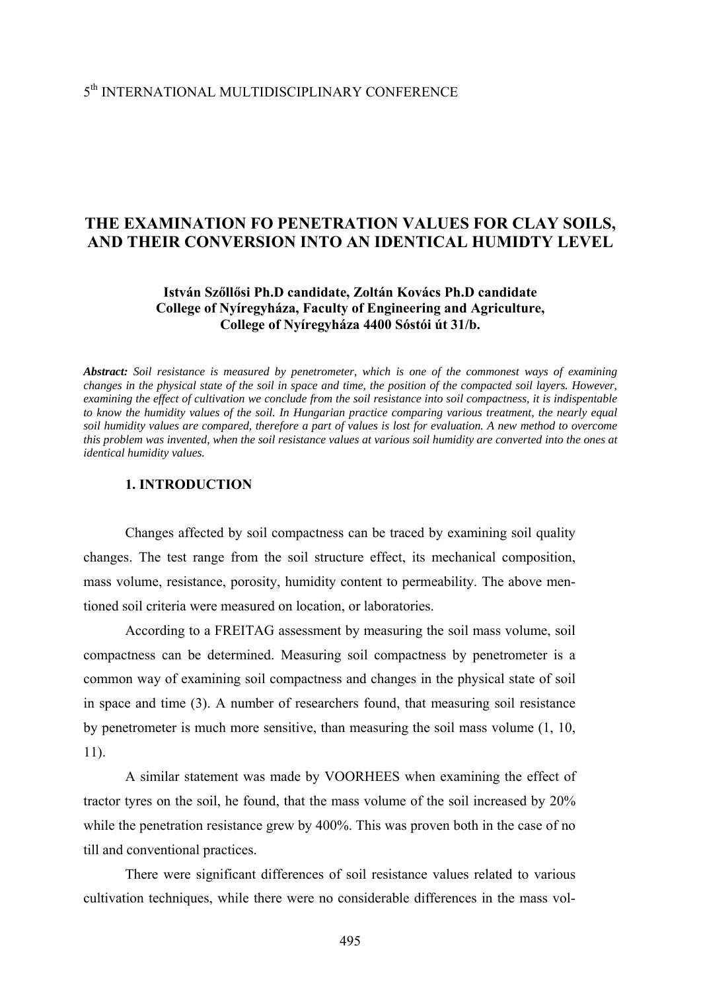# **THE EXAMINATION FO PENETRATION VALUES FOR CLAY SOILS, AND THEIR CONVERSION INTO AN IDENTICAL HUMIDTY LEVEL**

## **István Szőllősi Ph.D candidate, Zoltán Kovács Ph.D candidate College of Nyíregyháza, Faculty of Engineering and Agriculture, College of Nyíregyháza 4400 Sóstói út 31/b.**

*Abstract: Soil resistance is measured by penetrometer, which is one of the commonest ways of examining changes in the physical state of the soil in space and time, the position of the compacted soil layers. However, examining the effect of cultivation we conclude from the soil resistance into soil compactness, it is indispentable to know the humidity values of the soil. In Hungarian practice comparing various treatment, the nearly equal soil humidity values are compared, therefore a part of values is lost for evaluation. A new method to overcome this problem was invented, when the soil resistance values at various soil humidity are converted into the ones at identical humidity values.* 

### **1. INTRODUCTION**

Changes affected by soil compactness can be traced by examining soil quality changes. The test range from the soil structure effect, its mechanical composition, mass volume, resistance, porosity, humidity content to permeability. The above mentioned soil criteria were measured on location, or laboratories.

According to a FREITAG assessment by measuring the soil mass volume, soil compactness can be determined. Measuring soil compactness by penetrometer is a common way of examining soil compactness and changes in the physical state of soil in space and time (3). A number of researchers found, that measuring soil resistance by penetrometer is much more sensitive, than measuring the soil mass volume (1, 10, 11).

A similar statement was made by VOORHEES when examining the effect of tractor tyres on the soil, he found, that the mass volume of the soil increased by 20% while the penetration resistance grew by 400%. This was proven both in the case of no till and conventional practices.

There were significant differences of soil resistance values related to various cultivation techniques, while there were no considerable differences in the mass vol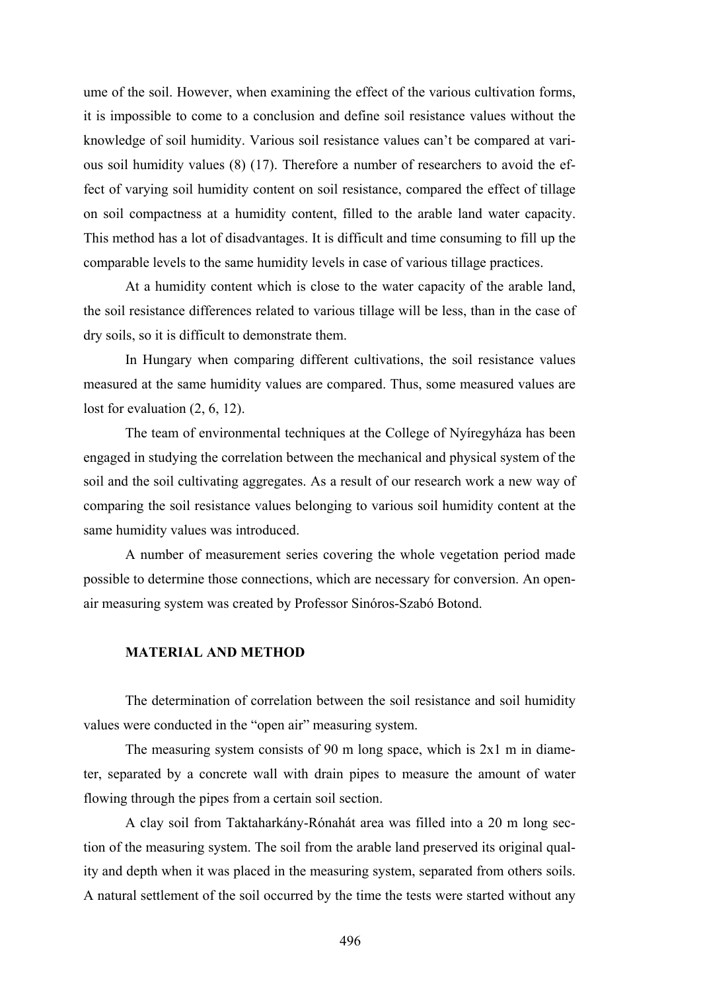ume of the soil. However, when examining the effect of the various cultivation forms, it is impossible to come to a conclusion and define soil resistance values without the knowledge of soil humidity. Various soil resistance values can't be compared at various soil humidity values (8) (17). Therefore a number of researchers to avoid the effect of varying soil humidity content on soil resistance, compared the effect of tillage on soil compactness at a humidity content, filled to the arable land water capacity. This method has a lot of disadvantages. It is difficult and time consuming to fill up the comparable levels to the same humidity levels in case of various tillage practices.

At a humidity content which is close to the water capacity of the arable land, the soil resistance differences related to various tillage will be less, than in the case of dry soils, so it is difficult to demonstrate them.

In Hungary when comparing different cultivations, the soil resistance values measured at the same humidity values are compared. Thus, some measured values are lost for evaluation  $(2, 6, 12)$ .

The team of environmental techniques at the College of Nyíregyháza has been engaged in studying the correlation between the mechanical and physical system of the soil and the soil cultivating aggregates. As a result of our research work a new way of comparing the soil resistance values belonging to various soil humidity content at the same humidity values was introduced.

A number of measurement series covering the whole vegetation period made possible to determine those connections, which are necessary for conversion. An openair measuring system was created by Professor Sinóros-Szabó Botond.

#### **MATERIAL AND METHOD**

The determination of correlation between the soil resistance and soil humidity values were conducted in the "open air" measuring system.

The measuring system consists of 90 m long space, which is 2x1 m in diameter, separated by a concrete wall with drain pipes to measure the amount of water flowing through the pipes from a certain soil section.

A clay soil from Taktaharkány-Rónahát area was filled into a 20 m long section of the measuring system. The soil from the arable land preserved its original quality and depth when it was placed in the measuring system, separated from others soils. A natural settlement of the soil occurred by the time the tests were started without any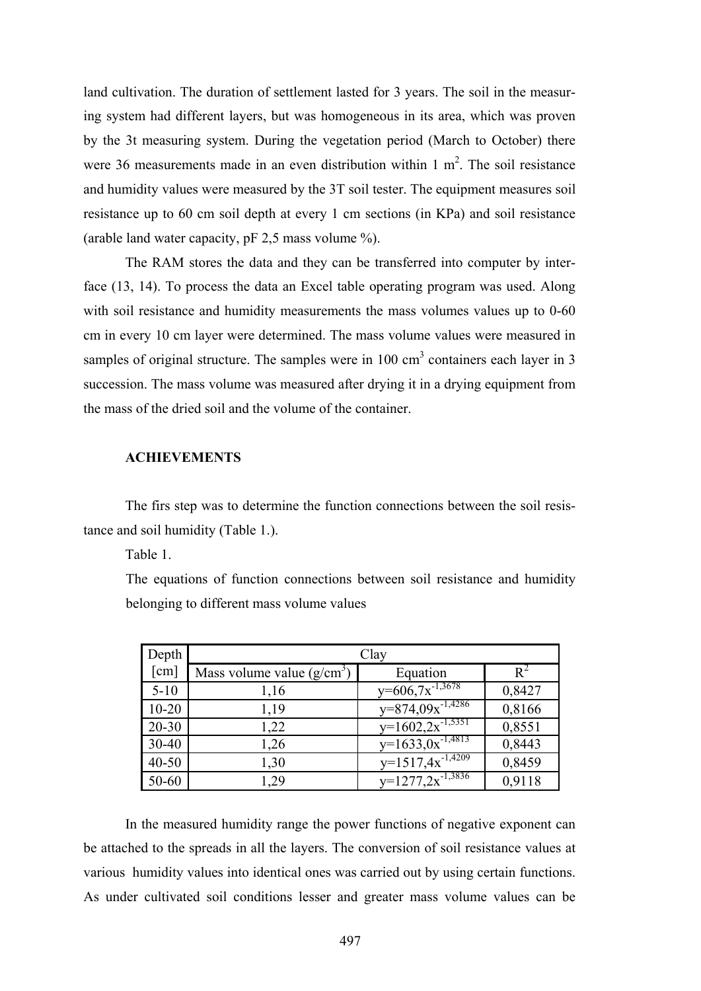land cultivation. The duration of settlement lasted for 3 years. The soil in the measuring system had different layers, but was homogeneous in its area, which was proven by the 3t measuring system. During the vegetation period (March to October) there were 36 measurements made in an even distribution within  $1 \text{ m}^2$ . The soil resistance and humidity values were measured by the 3T soil tester. The equipment measures soil resistance up to 60 cm soil depth at every 1 cm sections (in KPa) and soil resistance (arable land water capacity, pF 2,5 mass volume %).

The RAM stores the data and they can be transferred into computer by interface (13, 14). To process the data an Excel table operating program was used. Along with soil resistance and humidity measurements the mass volumes values up to 0-60 cm in every 10 cm layer were determined. The mass volume values were measured in samples of original structure. The samples were in  $100 \text{ cm}^3$  containers each layer in 3 succession. The mass volume was measured after drying it in a drying equipment from the mass of the dried soil and the volume of the container.

### **ACHIEVEMENTS**

The firs step was to determine the function connections between the soil resistance and soil humidity (Table 1.).

Table 1.

The equations of function connections between soil resistance and humidity belonging to different mass volume values

| Depth                | Clay                        |                                  |        |
|----------------------|-----------------------------|----------------------------------|--------|
| $\lceil$ cm $\rceil$ | Mass volume value $(g/cm3)$ | Equation                         | $R^2$  |
| $5 - 10$             | 1,16                        | $y=606.7x^{-1,3678}$             | 0,8427 |
| $10 - 20$            | 1,19                        | $y=874,09x^{-1,4286}$            | 0,8166 |
| $20 - 30$            | 1,22                        | $y=1602.2x^{-1,5351}$            | 0,8551 |
| $30 - 40$            | 1,26                        | $y=1633.0x^{-1,4813}$            | 0,8443 |
| $40 - 50$            | 1,30                        | $y=1517,4x^{-1,\overline{4209}}$ | 0,8459 |
| 50-60                | 1,29                        | $y=1277.2x^{-1,3836}$            | 0,9118 |

In the measured humidity range the power functions of negative exponent can be attached to the spreads in all the layers. The conversion of soil resistance values at various humidity values into identical ones was carried out by using certain functions. As under cultivated soil conditions lesser and greater mass volume values can be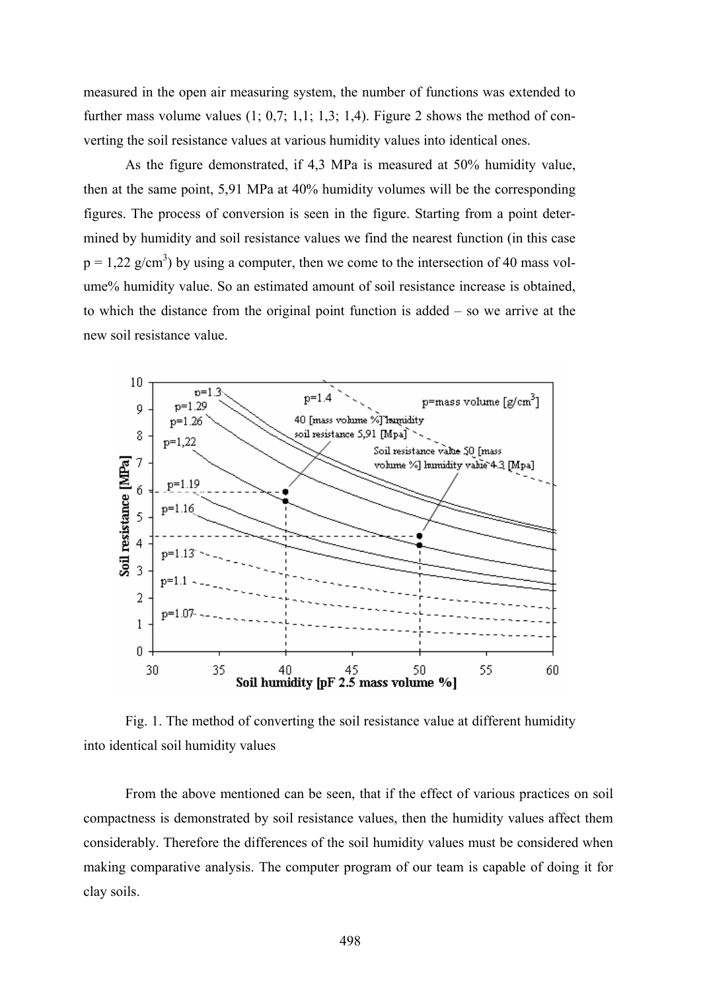measured in the open air measuring system, the number of functions was extended to further mass volume values  $(1; 0,7; 1,1; 1,3; 1,4)$ . Figure 2 shows the method of converting the soil resistance values at various humidity values into identical ones.

As the figure demonstrated, if 4,3 MPa is measured at 50% humidity value, then at the same point, 5,91 MPa at 40% humidity volumes will be the corresponding figures. The process of conversion is seen in the figure. Starting from a point determined by humidity and soil resistance values we find the nearest function (in this case  $p = 1,22$  g/cm<sup>3</sup>) by using a computer, then we come to the intersection of 40 mass volume% humidity value. So an estimated amount of soil resistance increase is obtained, to which the distance from the original point function is added – so we arrive at the new soil resistance value.



Fig. 1. The method of converting the soil resistance value at different humidity into identical soil humidity values

From the above mentioned can be seen, that if the effect of various practices on soil compactness is demonstrated by soil resistance values, then the humidity values affect them considerably. Therefore the differences of the soil humidity values must be considered when making comparative analysis. The computer program of our team is capable of doing it for clay soils.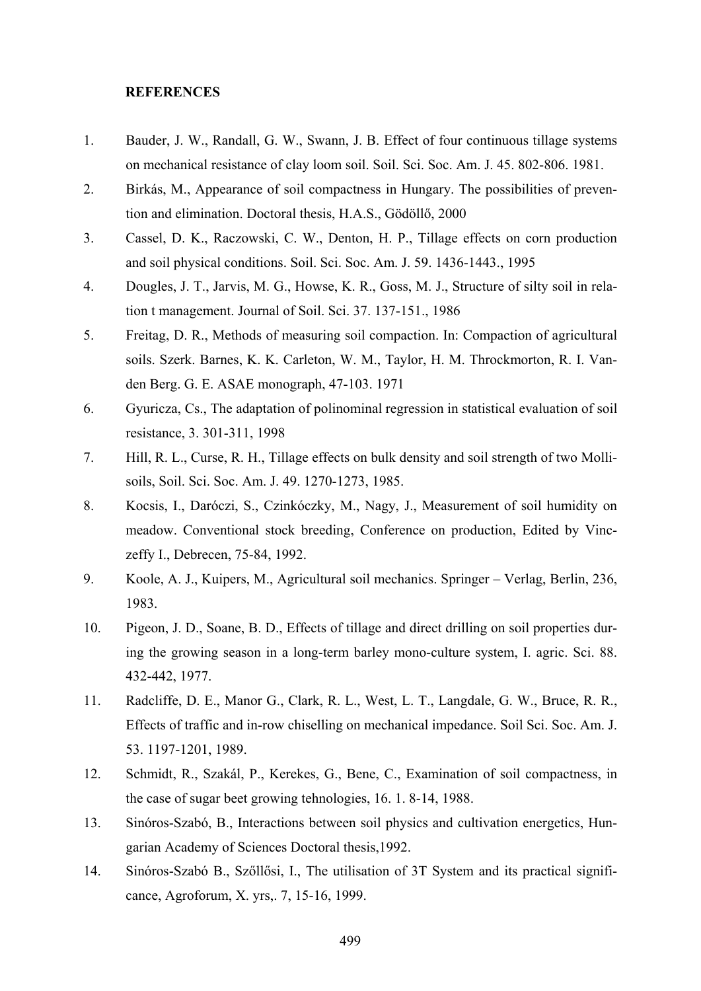#### **REFERENCES**

- 1. Bauder, J. W., Randall, G. W., Swann, J. B. Effect of four continuous tillage systems on mechanical resistance of clay loom soil. Soil. Sci. Soc. Am. J. 45. 802-806. 1981.
- 2. Birkás, M., Appearance of soil compactness in Hungary. The possibilities of prevention and elimination. Doctoral thesis, H.A.S., Gödöllő, 2000
- 3. Cassel, D. K., Raczowski, C. W., Denton, H. P., Tillage effects on corn production and soil physical conditions. Soil. Sci. Soc. Am. J. 59. 1436-1443., 1995
- 4. Dougles, J. T., Jarvis, M. G., Howse, K. R., Goss, M. J., Structure of silty soil in relation t management. Journal of Soil. Sci. 37. 137-151., 1986
- 5. Freitag, D. R., Methods of measuring soil compaction. In: Compaction of agricultural soils. Szerk. Barnes, K. K. Carleton, W. M., Taylor, H. M. Throckmorton, R. I. Vanden Berg. G. E. ASAE monograph, 47-103. 1971
- 6. Gyuricza, Cs., The adaptation of polinominal regression in statistical evaluation of soil resistance, 3. 301-311, 1998
- 7. Hill, R. L., Curse, R. H., Tillage effects on bulk density and soil strength of two Mollisoils, Soil. Sci. Soc. Am. J. 49. 1270-1273, 1985.
- 8. Kocsis, I., Daróczi, S., Czinkóczky, M., Nagy, J., Measurement of soil humidity on meadow. Conventional stock breeding, Conference on production, Edited by Vinczeffy I., Debrecen, 75-84, 1992.
- 9. Koole, A. J., Kuipers, M., Agricultural soil mechanics. Springer Verlag, Berlin, 236, 1983.
- 10. Pigeon, J. D., Soane, B. D., Effects of tillage and direct drilling on soil properties during the growing season in a long-term barley mono-culture system, I. agric. Sci. 88. 432-442, 1977.
- 11. Radcliffe, D. E., Manor G., Clark, R. L., West, L. T., Langdale, G. W., Bruce, R. R., Effects of traffic and in-row chiselling on mechanical impedance. Soil Sci. Soc. Am. J. 53. 1197-1201, 1989.
- 12. Schmidt, R., Szakál, P., Kerekes, G., Bene, C., Examination of soil compactness, in the case of sugar beet growing tehnologies, 16. 1. 8-14, 1988.
- 13. Sinóros-Szabó, B., Interactions between soil physics and cultivation energetics, Hungarian Academy of Sciences Doctoral thesis,1992.
- 14. Sinóros-Szabó B., Szőllősi, I., The utilisation of 3T System and its practical significance, Agroforum, X. yrs,. 7, 15-16, 1999.